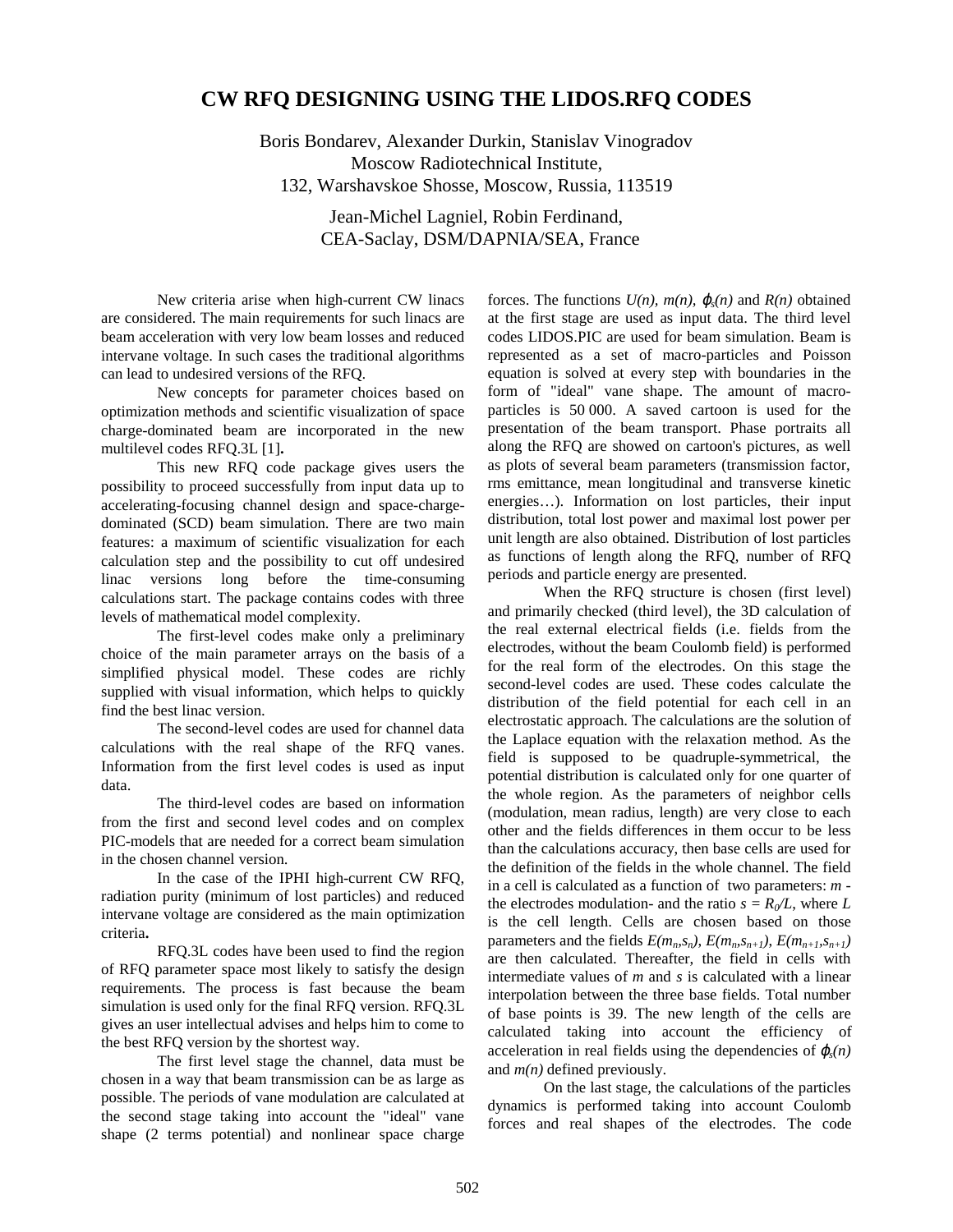## **CW RFQ DESIGNING USING THE LIDOS.RFQ CODES**

Boris Bondarev, Alexander Durkin, Stanislav Vinogradov Moscow Radiotechnical Institute, 132, Warshavskoe Shosse, Moscow, Russia, 113519

> Jean-Michel Lagniel, Robin Ferdinand, CEA-Saclay, DSM/DAPNIA/SEA, France

New criteria arise when high-current CW linacs are considered. The main requirements for such linacs are beam acceleration with very low beam losses and reduced intervane voltage. In such cases the traditional algorithms can lead to undesired versions of the RFQ.

New concepts for parameter choices based on optimization methods and scientific visualization of space charge-dominated beam are incorporated in the new multilevel codes RFQ.3L [1]**.**

This new RFQ code package gives users the possibility to proceed successfully from input data up to accelerating-focusing channel design and space-chargedominated (SCD) beam simulation. There are two main features: a maximum of scientific visualization for each calculation step and the possibility to cut off undesired linac versions long before the time-consuming calculations start. The package contains codes with three levels of mathematical model complexity.

The first-level codes make only a preliminary choice of the main parameter arrays on the basis of a simplified physical model. These codes are richly supplied with visual information, which helps to quickly find the best linac version.

The second-level codes are used for channel data calculations with the real shape of the RFQ vanes. Information from the first level codes is used as input data.

The third-level codes are based on information from the first and second level codes and on complex PIC-models that are needed for a correct beam simulation in the chosen channel version.

In the case of the IPHI high-current CW RFQ, radiation purity (minimum of lost particles) and reduced intervane voltage are considered as the main optimization criteria**.**

RFQ.3L codes have been used to find the region of RFQ parameter space most likely to satisfy the design requirements. The process is fast because the beam simulation is used only for the final RFQ version. RFQ.3L gives an user intellectual advises and helps him to come to the best RFQ version by the shortest way.

The first level stage the channel, data must be chosen in a way that beam transmission can be as large as possible. The periods of vane modulation are calculated at the second stage taking into account the "ideal" vane shape (2 terms potential) and nonlinear space charge

forces. The functions  $U(n)$ ,  $m(n)$ ,  $\varphi_s(n)$  and  $R(n)$  obtained at the first stage are used as input data. The third level codes LIDOS.PIC are used for beam simulation. Beam is represented as a set of macro-particles and Poisson equation is solved at every step with boundaries in the form of "ideal" vane shape. The amount of macroparticles is 50 000. A saved cartoon is used for the presentation of the beam transport. Phase portraits all along the RFQ are showed on cartoon's pictures, as well as plots of several beam parameters (transmission factor, rms emittance, mean longitudinal and transverse kinetic energies…). Information on lost particles, their input distribution, total lost power and maximal lost power per unit length are also obtained. Distribution of lost particles as functions of length along the RFQ, number of RFQ periods and particle energy are presented.

When the RFQ structure is chosen (first level) and primarily checked (third level), the 3D calculation of the real external electrical fields (i.e. fields from the electrodes, without the beam Coulomb field) is performed for the real form of the electrodes. On this stage the second-level codes are used. These codes calculate the distribution of the field potential for each cell in an electrostatic approach. The calculations are the solution of the Laplace equation with the relaxation method. As the field is supposed to be quadruple-symmetrical, the potential distribution is calculated only for one quarter of the whole region. As the parameters of neighbor cells (modulation, mean radius, length) are very close to each other and the fields differences in them occur to be less than the calculations accuracy, then base cells are used for the definition of the fields in the whole channel. The field in a cell is calculated as a function of two parameters: *m* the electrodes modulation- and the ratio  $s = R_0/L$ , where L is the cell length. Cells are chosen based on those parameters and the fields  $E(m_n, s_n)$ ,  $E(m_n, s_{n+1})$ ,  $E(m_{n+1}, s_{n+1})$ are then calculated. Thereafter, the field in cells with intermediate values of *m* and *s* is calculated with a linear interpolation between the three base fields. Total number of base points is 39. The new length of the cells are calculated taking into account the efficiency of acceleration in real fields using the dependencies of  $\varphi$ <sub>s</sub> $(n)$ and *m(n)* defined previously.

On the last stage, the calculations of the particles dynamics is performed taking into account Coulomb forces and real shapes of the electrodes. The code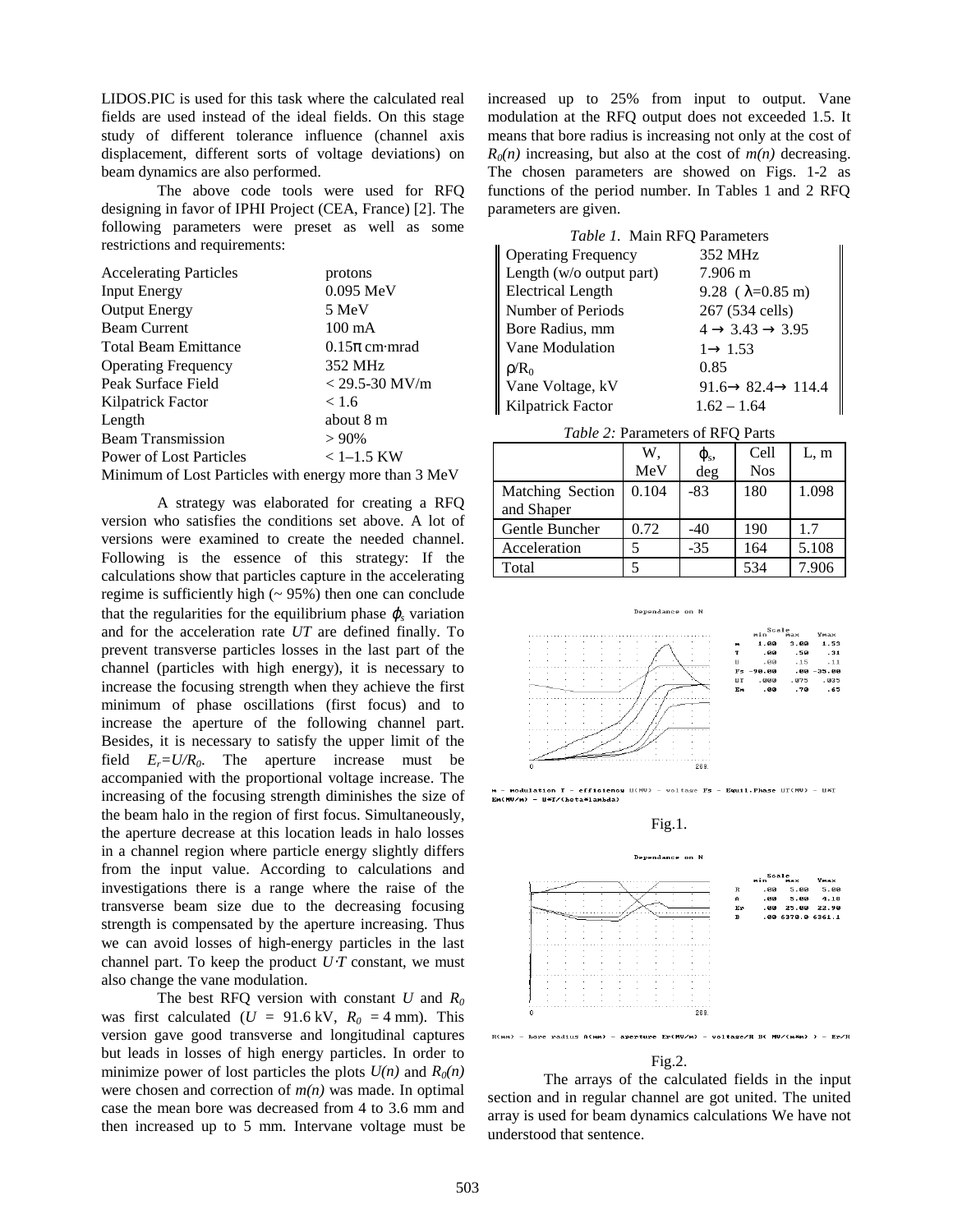LIDOS.PIC is used for this task where the calculated real fields are used instead of the ideal fields. On this stage study of different tolerance influence (channel axis displacement, different sorts of voltage deviations) on beam dynamics are also performed.

The above code tools were used for RFQ designing in favor of IPHI Project (CEA, France) [2]. The following parameters were preset as well as some restrictions and requirements:

| <b>Accelerating Particles</b>                         | protons           |
|-------------------------------------------------------|-------------------|
| <b>Input Energy</b>                                   | $0.095$ MeV       |
| <b>Output Energy</b>                                  | 5 MeV             |
| <b>Beam Current</b>                                   | $100 \text{ mA}$  |
| <b>Total Beam Emittance</b>                           | $0.15\pi$ cm mrad |
| <b>Operating Frequency</b>                            | 352 MHz           |
| Peak Surface Field                                    | $<$ 29.5-30 MV/m  |
| Kilpatrick Factor                                     | < 1.6             |
| Length                                                | about 8 m         |
| <b>Beam Transmission</b>                              | $>90\%$           |
| <b>Power of Lost Particles</b>                        | $< 1 - 1.5$ KW    |
| Minimum of Lost Particles with energy more than 3 MeV |                   |

A strategy was elaborated for creating a RFQ version who satisfies the conditions set above. A lot of versions were examined to create the needed channel. Following is the essence of this strategy: If the calculations show that particles capture in the accelerating regime is sufficiently high  $($   $\sim$  95% $)$  then one can conclude that the regularities for the equilibrium phase  $\varphi$ <sub>s</sub> variation and for the acceleration rate *UT* are defined finally. To prevent transverse particles losses in the last part of the channel (particles with high energy), it is necessary to increase the focusing strength when they achieve the first minimum of phase oscillations (first focus) and to increase the aperture of the following channel part. Besides, it is necessary to satisfy the upper limit of the field  $E_r = U/R_0$ . The aperture increase must be accompanied with the proportional voltage increase. The increasing of the focusing strength diminishes the size of the beam halo in the region of first focus. Simultaneously, the aperture decrease at this location leads in halo losses in a channel region where particle energy slightly differs from the input value. According to calculations and investigations there is a range where the raise of the transverse beam size due to the decreasing focusing strength is compensated by the aperture increasing. Thus we can avoid losses of high-energy particles in the last channel part. To keep the product *U*⋅*T* constant, we must also change the vane modulation.

The best RFQ version with constant *U* and  $R_0$ was first calculated ( $U = 91.6 \text{ kV}$ ,  $R_0 = 4 \text{ mm}$ ). This version gave good transverse and longitudinal captures but leads in losses of high energy particles. In order to minimize power of lost particles the plots  $U(n)$  and  $R_0(n)$ were chosen and correction of *m(n)* was made. In optimal case the mean bore was decreased from 4 to 3.6 mm and then increased up to 5 mm. Intervane voltage must be

increased up to 25% from input to output. Vane modulation at the RFQ output does not exceeded 1.5. It means that bore radius is increasing not only at the cost of  $R_0(n)$  increasing, but also at the cost of  $m(n)$  decreasing. The chosen parameters are showed on Figs. 1-2 as functions of the period number. In Tables 1 and 2 RFQ parameters are given.

| Table 1. Main RFQ Parameters |                                           |
|------------------------------|-------------------------------------------|
| <b>Operating Frequency</b>   | 352 MHz                                   |
| Length (w/o output part)     | 7.906 m                                   |
| <b>Electrical Length</b>     | 9.28 ( $\lambda$ =0.85 m)                 |
| Number of Periods            | 267 (534 cells)                           |
| Bore Radius, mm              | $4 \rightarrow 3.43 \rightarrow 3.95$     |
| Vane Modulation              | $1 \rightarrow 1.53$                      |
| $\rho/R_0$                   | 0.85                                      |
| Vane Voltage, kV             | $91.6 \rightarrow 82.4 \rightarrow 114.4$ |
| Kilpatrick Factor            | $1.62 - 1.64$                             |

*Table 2:* Parameters of RFQ Parts

|                  | W.    | $\varphi_{s}$ | Cell       | L, m  |
|------------------|-------|---------------|------------|-------|
|                  | MeV   | deg           | <b>Nos</b> |       |
| Matching Section | 0.104 | $-83$         | 180        | 1.098 |
| and Shaper       |       |               |            |       |
| Gentle Buncher   | 0.72  | $-40$         | 190        | 1.7   |
| Acceleration     |       | $-35$         | 164        | 5.108 |
| Total            |       |               | 534        | 7.906 |



 $935$ 

modulation T - efficiency U(MU) - voltage Fs - Equil. Phase UT(MU) - UM) - U\*T/(beta\*lambda)





Fig.2.

The arrays of the calculated fields in the input section and in regular channel are got united. The united array is used for beam dynamics calculations We have not understood that sentence.